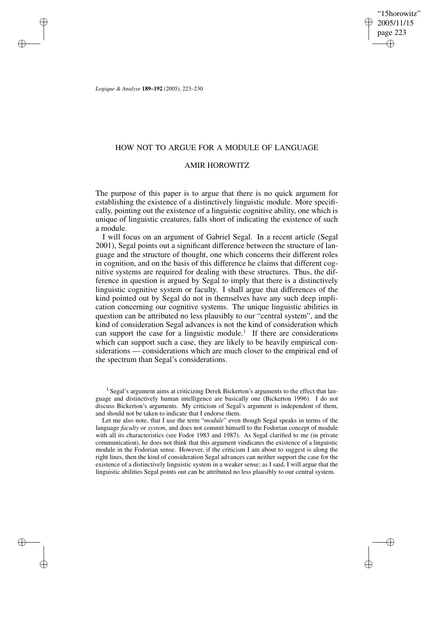"15horowitz" 2005/11/15 page 223 ✐ ✐

✐

✐

*Logique & Analyse* **189–192** (2005), 223–230

✐

✐

✐

✐

# HOW NOT TO ARGUE FOR A MODULE OF LANGUAGE

## AMIR HOROWITZ

The purpose of this paper is to argue that there is no quick argument for establishing the existence of a distinctively linguistic module. More specifically, pointing out the existence of a linguistic cognitive ability, one which is unique of linguistic creatures, falls short of indicating the existence of such a module.

I will focus on an argument of Gabriel Segal. In a recent article (Segal 2001), Segal points out a significant difference between the structure of language and the structure of thought, one which concerns their different roles in cognition, and on the basis of this difference he claims that different cognitive systems are required for dealing with these structures. Thus, the difference in question is argued by Segal to imply that there is a distinctively linguistic cognitive system or faculty. I shall argue that differences of the kind pointed out by Segal do not in themselves have any such deep implication concerning our cognitive systems. The unique linguistic abilities in question can be attributed no less plausibly to our "central system", and the kind of consideration Segal advances is not the kind of consideration which can support the case for a linguistic module.<sup>1</sup> If there are considerations which can support such a case, they are likely to be heavily empirical considerations — considerations which are much closer to the empirical end of the spectrum than Segal's considerations.

<sup>1</sup> Segal's argument aims at criticizing Derek Bickerton's arguments to the effect that language and distinctively human intelligence are basically one (Bickerton 1996). I do not discuss Bickerton's arguments. My criticism of Segal's argument is independent of them, and should not be taken to indicate that I endorse them.

Let me also note, that I use the term "*module*" even though Segal speaks in terms of the language *faculty* or *system*, and does not commit himself to the Fodorian concept of module with all its characteristics (see Fodor 1983 and 1987). As Segal clarified to me (in private communication), he does not think that this argument vindicates the existence of a linguistic module in the Fodorian sense. However, if the criticism I am about to suggest is along the right lines, then the kind of consideration Segal advances can neither support the case for the existence of a distinctively linguistic system in a weaker sense; as I said, I will argue that the linguistic abilities Segal points out can be attributed no less plausibly to our central system.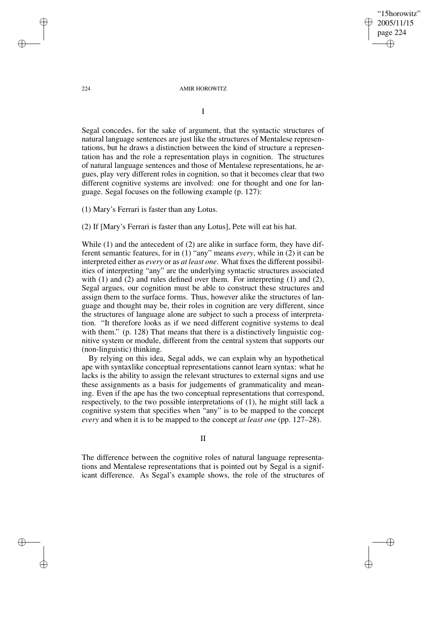"15horowitz" 2005/11/15 page 224 ✐ ✐

✐

✐

#### 224 AMIR HOROWITZ

I

Segal concedes, for the sake of argument, that the syntactic structures of natural language sentences are just like the structures of Mentalese representations, but he draws a distinction between the kind of structure a representation has and the role a representation plays in cognition. The structures of natural language sentences and those of Mentalese representations, he argues, play very different roles in cognition, so that it becomes clear that two different cognitive systems are involved: one for thought and one for language. Segal focuses on the following example (p. 127):

(1) Mary's Ferrari is faster than any Lotus.

(2) If [Mary's Ferrari is faster than any Lotus], Pete will eat his hat.

While (1) and the antecedent of (2) are alike in surface form, they have different semantic features, for in (1) "any" means *every*, while in (2) it can be interpreted either as *every* or as *at least one*. What fixes the different possibilities of interpreting "any" are the underlying syntactic structures associated with  $(1)$  and  $(2)$  and rules defined over them. For interpreting  $(1)$  and  $(2)$ , Segal argues, our cognition must be able to construct these structures and assign them to the surface forms. Thus, however alike the structures of language and thought may be, their roles in cognition are very different, since the structures of language alone are subject to such a process of interpretation. "It therefore looks as if we need different cognitive systems to deal with them." (p. 128) That means that there is a distinctively linguistic cognitive system or module, different from the central system that supports our (non-linguistic) thinking.

By relying on this idea, Segal adds, we can explain why an hypothetical ape with syntaxlike conceptual representations cannot learn syntax: what he lacks is the ability to assign the relevant structures to external signs and use these assignments as a basis for judgements of grammaticality and meaning. Even if the ape has the two conceptual representations that correspond, respectively, to the two possible interpretations of (1), he might still lack a cognitive system that specifies when "any" is to be mapped to the concept *every* and when it is to be mapped to the concept *at least one* (pp. 127–28).

II

The difference between the cognitive roles of natural language representations and Mentalese representations that is pointed out by Segal is a significant difference. As Segal's example shows, the role of the structures of

✐

✐

✐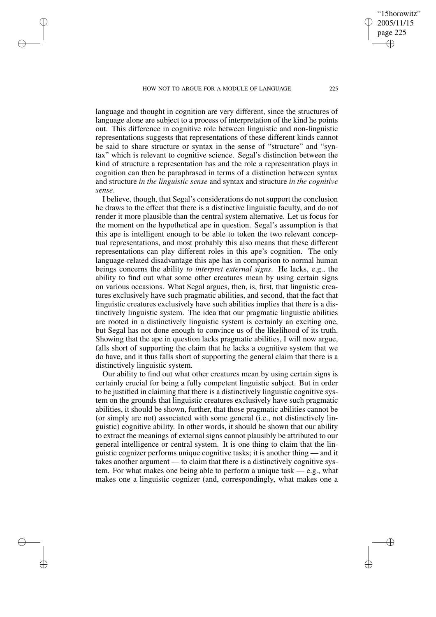HOW NOT TO ARGUE FOR A MODULE OF LANGUAGE 225

✐

✐

✐

✐

"15horowitz" 2005/11/15 page 225

✐

✐

✐

✐

language and thought in cognition are very different, since the structures of language alone are subject to a process of interpretation of the kind he points out. This difference in cognitive role between linguistic and non-linguistic representations suggests that representations of these different kinds cannot be said to share structure or syntax in the sense of "structure" and "syntax" which is relevant to cognitive science. Segal's distinction between the kind of structure a representation has and the role a representation plays in cognition can then be paraphrased in terms of a distinction between syntax and structure *in the linguistic sense* and syntax and structure *in the cognitive sense*.

I believe, though, that Segal's considerations do not support the conclusion he draws to the effect that there is a distinctive linguistic faculty, and do not render it more plausible than the central system alternative. Let us focus for the moment on the hypothetical ape in question. Segal's assumption is that this ape is intelligent enough to be able to token the two relevant conceptual representations, and most probably this also means that these different representations can play different roles in this ape's cognition. The only language-related disadvantage this ape has in comparison to normal human beings concerns the ability *to interpret external signs*. He lacks, e.g., the ability to find out what some other creatures mean by using certain signs on various occasions. What Segal argues, then, is, first, that linguistic creatures exclusively have such pragmatic abilities, and second, that the fact that linguistic creatures exclusively have such abilities implies that there is a distinctively linguistic system. The idea that our pragmatic linguistic abilities are rooted in a distinctively linguistic system is certainly an exciting one, but Segal has not done enough to convince us of the likelihood of its truth. Showing that the ape in question lacks pragmatic abilities, I will now argue, falls short of supporting the claim that he lacks a cognitive system that we do have, and it thus falls short of supporting the general claim that there is a distinctively linguistic system.

Our ability to find out what other creatures mean by using certain signs is certainly crucial for being a fully competent linguistic subject. But in order to be justified in claiming that there is a distinctively linguistic cognitive system on the grounds that linguistic creatures exclusively have such pragmatic abilities, it should be shown, further, that those pragmatic abilities cannot be (or simply are not) associated with some general (i.e., not distinctively linguistic) cognitive ability. In other words, it should be shown that our ability to extract the meanings of external signs cannot plausibly be attributed to our general intelligence or central system. It is one thing to claim that the linguistic cognizer performs unique cognitive tasks; it is another thing — and it takes another argument — to claim that there is a distinctively cognitive system. For what makes one being able to perform a unique task — e.g., what makes one a linguistic cognizer (and, correspondingly, what makes one a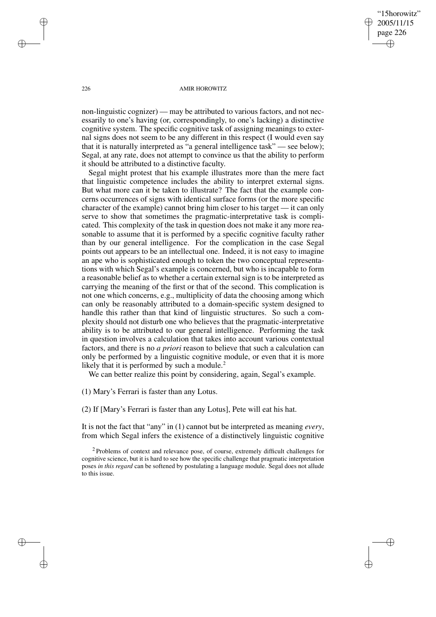"15horowitz" 2005/11/15 page 226 ✐ ✐

✐

✐

#### 226 AMIR HOROWITZ

non-linguistic cognizer) — may be attributed to various factors, and not necessarily to one's having (or, correspondingly, to one's lacking) a distinctive cognitive system. The specific cognitive task of assigning meanings to external signs does not seem to be any different in this respect (I would even say that it is naturally interpreted as "a general intelligence task" — see below); Segal, at any rate, does not attempt to convince us that the ability to perform it should be attributed to a distinctive faculty.

Segal might protest that his example illustrates more than the mere fact that linguistic competence includes the ability to interpret external signs. But what more can it be taken to illustrate? The fact that the example concerns occurrences of signs with identical surface forms (or the more specific character of the example) cannot bring him closer to his target — it can only serve to show that sometimes the pragmatic-interpretative task is complicated. This complexity of the task in question does not make it any more reasonable to assume that it is performed by a specific cognitive faculty rather than by our general intelligence. For the complication in the case Segal points out appears to be an intellectual one. Indeed, it is not easy to imagine an ape who is sophisticated enough to token the two conceptual representations with which Segal's example is concerned, but who is incapable to form a reasonable belief as to whether a certain external sign is to be interpreted as carrying the meaning of the first or that of the second. This complication is not one which concerns, e.g., multiplicity of data the choosing among which can only be reasonably attributed to a domain-specific system designed to handle this rather than that kind of linguistic structures. So such a complexity should not disturb one who believes that the pragmatic-interpretative ability is to be attributed to our general intelligence. Performing the task in question involves a calculation that takes into account various contextual factors, and there is no *a priori* reason to believe that such a calculation can only be performed by a linguistic cognitive module, or even that it is more likely that it is performed by such a module. $2^2$ 

We can better realize this point by considering, again, Segal's example.

(1) Mary's Ferrari is faster than any Lotus.

(2) If [Mary's Ferrari is faster than any Lotus], Pete will eat his hat.

It is not the fact that "any" in (1) cannot but be interpreted as meaning *every*, from which Segal infers the existence of a distinctively linguistic cognitive

✐

✐

✐

<sup>&</sup>lt;sup>2</sup> Problems of context and relevance pose, of course, extremely difficult challenges for cognitive science, but it is hard to see how the specific challenge that pragmatic interpretation poses *in this regard* can be softened by postulating a language module. Segal does not allude to this issue.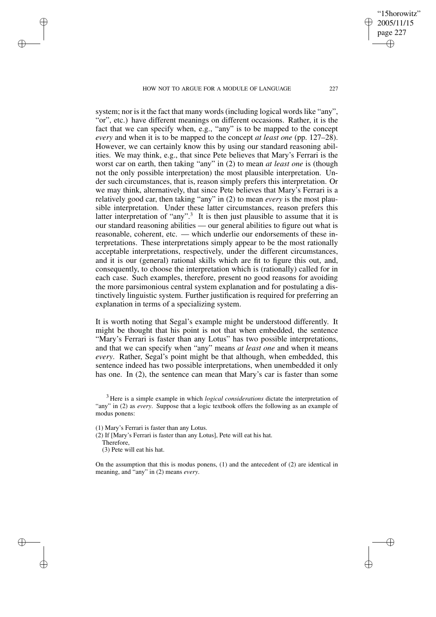#### HOW NOT TO ARGUE FOR A MODULE OF LANGUAGE 227

system; nor is it the fact that many words (including logical words like "any", "or", etc.) have different meanings on different occasions. Rather, it is the fact that we can specify when, e.g., "any" is to be mapped to the concept *every* and when it is to be mapped to the concept *at least one* (pp. 127–28). However, we can certainly know this by using our standard reasoning abilities. We may think, e.g., that since Pete believes that Mary's Ferrari is the worst car on earth, then taking "any" in (2) to mean *at least one* is (though not the only possible interpretation) the most plausible interpretation. Under such circumstances, that is, reason simply prefers this interpretation. Or we may think, alternatively, that since Pete believes that Mary's Ferrari is a relatively good car, then taking "any" in (2) to mean *every* is the most plausible interpretation. Under these latter circumstances, reason prefers this latter interpretation of "any".<sup>3</sup> It is then just plausible to assume that it is our standard reasoning abilities — our general abilities to figure out what is reasonable, coherent, etc. — which underlie our endorsements of these interpretations. These interpretations simply appear to be the most rationally acceptable interpretations, respectively, under the different circumstances, and it is our (general) rational skills which are fit to figure this out, and, consequently, to choose the interpretation which is (rationally) called for in each case. Such examples, therefore, present no good reasons for avoiding the more parsimonious central system explanation and for postulating a distinctively linguistic system. Further justification is required for preferring an explanation in terms of a specializing system.

It is worth noting that Segal's example might be understood differently. It might be thought that his point is not that when embedded, the sentence "Mary's Ferrari is faster than any Lotus" has two possible interpretations, and that we can specify when "any" means *at least one* and when it means *every*. Rather, Segal's point might be that although, when embedded, this sentence indeed has two possible interpretations, when unembedded it only has one. In (2), the sentence can mean that Mary's car is faster than some

<sup>3</sup> Here is a simple example in which *logical considerations* dictate the interpretation of "any" in (2) as *every*. Suppose that a logic textbook offers the following as an example of modus ponens:

(1) Mary's Ferrari is faster than any Lotus.

(2) If [Mary's Ferrari is faster than any Lotus], Pete will eat his hat.

Therefore,

✐

✐

✐

✐

(3) Pete will eat his hat.

On the assumption that this is modus ponens, (1) and the antecedent of (2) are identical in meaning, and "any" in (2) means *every*.

"15horowitz" 2005/11/15 page 227

✐

✐

✐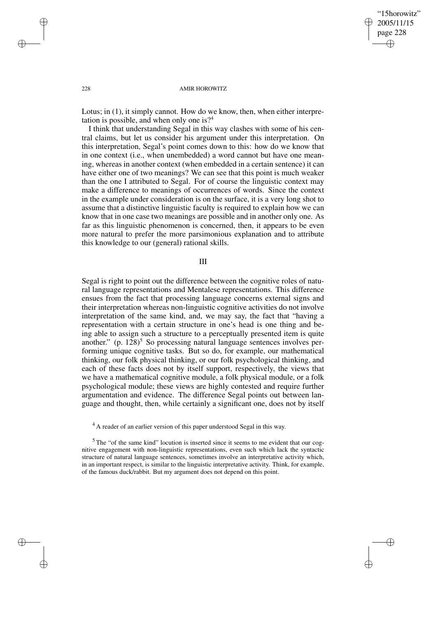✐

✐

#### 228 AMIR HOROWITZ

Lotus; in (1), it simply cannot. How do we know, then, when either interpretation is possible, and when only one is?<sup>4</sup>

I think that understanding Segal in this way clashes with some of his central claims, but let us consider his argument under this interpretation. On this interpretation, Segal's point comes down to this: how do we know that in one context (i.e., when unembedded) a word cannot but have one meaning, whereas in another context (when embedded in a certain sentence) it can have either one of two meanings? We can see that this point is much weaker than the one I attributed to Segal. For of course the linguistic context may make a difference to meanings of occurrences of words. Since the context in the example under consideration is on the surface, it is a very long shot to assume that a distinctive linguistic faculty is required to explain how we can know that in one case two meanings are possible and in another only one. As far as this linguistic phenomenon is concerned, then, it appears to be even more natural to prefer the more parsimonious explanation and to attribute this knowledge to our (general) rational skills.

III

Segal is right to point out the difference between the cognitive roles of natural language representations and Mentalese representations. This difference ensues from the fact that processing language concerns external signs and their interpretation whereas non-linguistic cognitive activities do not involve interpretation of the same kind, and, we may say, the fact that "having a representation with a certain structure in one's head is one thing and being able to assign such a structure to a perceptually presented item is quite another." (p.  $128$ )<sup>5</sup> So processing natural language sentences involves performing unique cognitive tasks. But so do, for example, our mathematical thinking, our folk physical thinking, or our folk psychological thinking, and each of these facts does not by itself support, respectively, the views that we have a mathematical cognitive module, a folk physical module, or a folk psychological module; these views are highly contested and require further argumentation and evidence. The difference Segal points out between language and thought, then, while certainly a significant one, does not by itself

✐

✐

✐

<sup>&</sup>lt;sup>4</sup> A reader of an earlier version of this paper understood Segal in this way.

 $5$  The "of the same kind" locution is inserted since it seems to me evident that our cognitive engagement with non-linguistic representations, even such which lack the syntactic structure of natural language sentences, sometimes involve an interpretative activity which, in an important respect, is similar to the linguistic interpretative activity. Think, for example, of the famous duck/rabbit. But my argument does not depend on this point.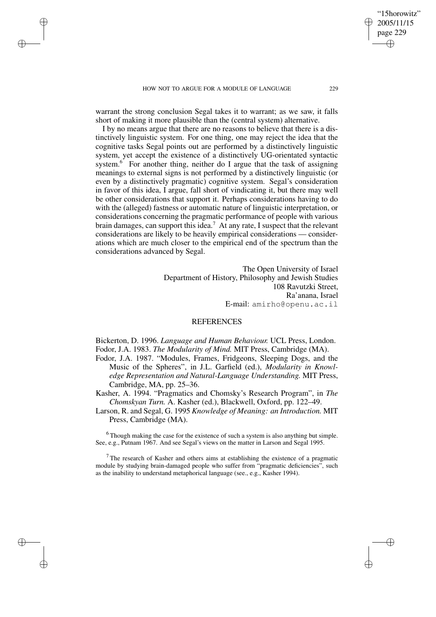HOW NOT TO ARGUE FOR A MODULE OF LANGUAGE 229

✐

✐

✐

✐

warrant the strong conclusion Segal takes it to warrant; as we saw, it falls short of making it more plausible than the (central system) alternative.

I by no means argue that there are no reasons to believe that there is a distinctively linguistic system. For one thing, one may reject the idea that the cognitive tasks Segal points out are performed by a distinctively linguistic system, yet accept the existence of a distinctively UG-orientated syntactic system.<sup>6</sup> For another thing, neither do I argue that the task of assigning meanings to external signs is not performed by a distinctively linguistic (or even by a distinctively pragmatic) cognitive system. Segal's consideration in favor of this idea, I argue, fall short of vindicating it, but there may well be other considerations that support it. Perhaps considerations having to do with the (alleged) fastness or automatic nature of linguistic interpretation, or considerations concerning the pragmatic performance of people with various brain damages, can support this idea.<sup>7</sup> At any rate, I suspect that the relevant considerations are likely to be heavily empirical considerations — considerations which are much closer to the empirical end of the spectrum than the considerations advanced by Segal.

> The Open University of Israel Department of History, Philosophy and Jewish Studies 108 Ravutzki Street, Ra'anana, Israel E-mail: amirho@openu.ac.il

# **REFERENCES**

Bickerton, D. 1996. *Language and Human Behaviour.* UCL Press, London. Fodor, J.A. 1983. *The Modularity of Mind.* MIT Press, Cambridge (MA).

- Fodor, J.A. 1987. "Modules, Frames, Fridgeons, Sleeping Dogs, and the Music of the Spheres", in J.L. Garfield (ed.), *Modularity in Knowledge Representation and Natural-Language Understanding.* MIT Press, Cambridge, MA, pp. 25–36.
- Kasher, A. 1994. "Pragmatics and Chomsky's Research Program", in *The Chomskyan Turn.* A. Kasher (ed.), Blackwell, Oxford, pp. 122–49.
- Larson, R. and Segal, G. 1995 *Knowledge of Meaning: an Introduction.* MIT Press, Cambridge (MA).

<sup>6</sup> Though making the case for the existence of such a system is also anything but simple. See, e.g., Putnam 1967. And see Segal's views on the matter in Larson and Segal 1995.

<sup>7</sup> The research of Kasher and others aims at establishing the existence of a pragmatic module by studying brain-damaged people who suffer from "pragmatic deficiencies", such as the inability to understand metaphorical language (see., e.g., Kasher 1994).

"15horowitz" 2005/11/15 page 229

✐

✐

✐